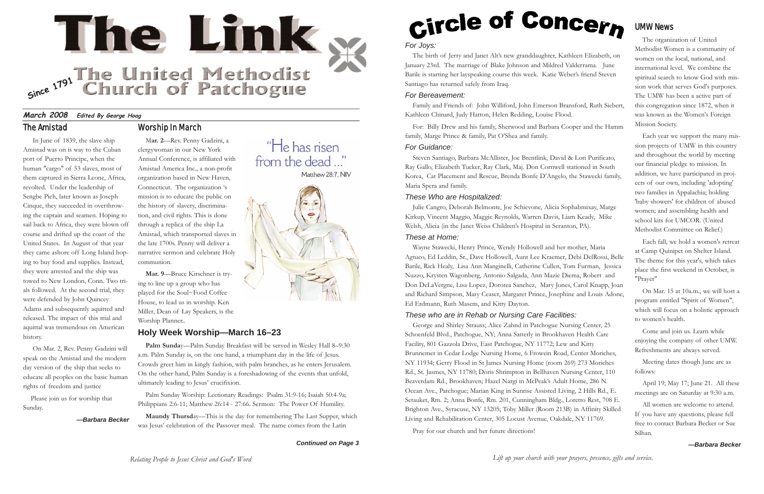*Lift up your church with your prayers, presence, gifts and service.*

## *For Joys:*

The birth of Jerry and Janet Alt's new granddaughter, Kathleen Elizabeth, on January 23rd. The marriage of Blake Johnson and Mildred Valderrama. June Barile is starting her layspeaking course this week. Katie Weber's friend Steven Santiago has returned safely from Iraq.

## *For Bereavement:*

Family and Friends of: John Williford, John Emerson Bransford, Ruth Siebert, Kathleen Chinard, Judy Hatton, Helen Redding, Louise Flood.

For: Billy Drew and his family, Sherwood and Barbara Cooper and the Hamm family, Marge Prince & family, Pat O'Shea and family.

## *For Guidance:*

Steven Santiago, Barbara McAllister, Joe Brentlink, David & Lori Purificato, Ray Gallo, Elizabeth Tucker, Ray Clark, Maj. Don Cornwell stationed in South Korea, Cat Placement and Rescue, Brenda Bonfe D'Angelo, the Stawecki family, Maria Spera and family.

## *These Who are Hospitalized:*

Julie Cangro, Deborah Belmonte, Joe Schievone, Alicia Sophabmixay, Marge Kirkup, Vincent Maggio, Maggie Reynolds, Warren Davis, Liam Keady, Mike Welsh, Alicia (in the Janet Weiss Children's Hospital in Scranton, PA).

## *These at Home:*

Wayne Stawecki, Henry Prince, Wendy Hollowell and her mother, Maria Agtuco, Ed Leddin, Sr., Dave Hollowell, Aunt Lee Kraemer, Debi DelRossi, Belle Barile, Rick Healy, Lisa Ann Manginelli, Catherine Cullen, Tom Furman, Jessica Nuzzo, Krysten Wagonberg, Antonio Salgada, Ann Mazie Diema, Robert and Don DeLaVergne, Lisa Lopez, Dorotea Sanchez, Mary Jones, Carol Knapp, Joan and Richard Simpson, Mary Ceaser, Margaret Prince, Josephine and Louis Adone, Ed Erdmann, Ruth Masem, and Kitty Dayton.

## *These who are in Rehab or Nursing Care Facilities:*

George and Shirley Strauss; Alice Zahnd in Patchogue Nursing Center, 25 Schoenfeld Blvd., Patchogue, NY; Anna Satterly in Brookhaven Health Care Facility, 801 Gazzola Drive, East Patchogue, NY 11772; Lew and Kitty Brunnemer in Cedar Lodge Nursing Home, 6 Frowein Road, Center Moriches, NY 11934; Gerry Flood in St James Nursing Home (room 269) 273 Moriches Rd., St. Jasmes, NY 11780; Doris Shrimpton in Bellhaven Nursing Center, 110 Beaverdam Rd., Brookhaven; Hazel Nargi in McPeak's Adult Home, 286 N. Ocean Ave., Patchogue; Marian King in Sunrise Assisted Living, 2 Hills Rd., E. Setauket, Rm. 2; Anna Bonfe, Rm. 201, Cunningham Bldg., Loretto Rest, 708 E. Brighton Ave., Syracuse, NY 13205; Toby Miller (Room 213B) in Affinity Skilled Living and Rehabilitation Center, 305 Locust Avenue, Oakdale, NY 11769.

Pray for our church and her future directions!

Palm Sunday—Palm Sunday Breakfast will be served in Wesley Hall 8-9:30 a.m. Palm Sunday is, on the one hand, a triumphant day in the life of Jesus. Crowds greet him in kingly fashion, with palm branches, as he enters Jerusalem. On the other hand, Palm Sunday is a foreshadowing of the events that unfold, ultimately leading to Jesus' crucifixion.

## UMW News

The organization of United Methodist Women is a community of women on the local, national, and international level. We combine the spiritual search to know God with mission work that serves God's purposes. The UMW has been a active part of this congregation since 1872, when it was known as the Women's Foreign Mission Society.

Each year we support the many mission projects of UMW in this country and throughout the world by meeting our financial pledge to mission. In addition, we have participated in projects of our own, including 'adopting' two families in Appalachia; holding 'baby showers' for children of abused women; and assembling health and school kits for UMCOR. (United Methodist Committee on Relief.)

Each fall, we hold a women's retreat at Camp Quinipet on Shelter Island. The theme for this year's, which takes place the first weekend in October, is "Prayer"

On Mar. 15 at 10a.m., we will host a program entitled "Spirit of Women", which will focus on a holistic approach to women's health.

Come and join us. Learn while enjoying the company of other UMW. Refreshments are always served.

Meeting dates though June are as follows:

April 19; May 17; June 21. All these meetings are on Saturday at 9:30 a.m.

All women are welcome to attend. If you have any questions, please fell free to contact Barbara Becker or Sue Silhan.

*—Barbara Becker*





*Continued on Page 3*

"He has risen

Matthew 28:7, NIV

from the dead..."

# Circle of Concern

## Worship In March

M**ar. 2**—Rev. Penny Gadzini, a clergywoman in our New York Annual Conference, is affiliated with Amistad America Inc., a non-profit organization based in New Haven, Connecticut. The organization 's mission is to educate the public on the history of slavery, discrimination, and civil rights. This is done through a replica of the ship La Amistad, which transported slaves in the late 1700s. Penny will deliver a narrative sermon and celebrate Holy communion.

**Mar. 9**—Bruce Kirschner is trying to line up a group who has played for the Soul~Food Coffee House, to lead us in worship. Ken Miller, Dean of Lay Speakers, is the Worship Planner..

## **March 2008 Edited By George Hoag** The Amistad

## **Holy Week Worship—March 16–23**

Palm Sunday Worship: Lectionary Readings: Psalm 31:9-16; Isaiah 50:4-9a; Philippians 2:6-11; Matthew 26:14 - 27:66. Sermon: The Power Of Humility.

**Maundy Thursd**ay—This is the day for remembering The Last Supper, which was Jesus' celebration of the Passover meal. The name comes from the Latin

In June of 1839, the slave ship Amistad was on is way to the Cuban port of Puerto Principe, when the human "cargo" of 53 slaves, most of them captured in Sierra Leone, Africa, revolted. Under the leadership of Sengbe Pieh, later known as Joseph Cinque, they succeeded in overthrowing the captain and seamen. Hoping to sail back to Africa, they were blown off course and drifted up the coast of the United States. In August of that year they came ashore off Long Island hoping to buy food and supplies. Instead, they were arrested and the ship was towed to New London, Conn. Two trials followed. At the second trial, they were defended by John Quincey Adams and subsequently aquitted and released. The impact of this trial and aquittal was tremendous on American history.

On Mar. 2, Rev. Penny Gadzini will speak on the Amistad and the modern day version of the ship that seeks to educate all peoples on the basic human rights of freedom and justice

Please join us for worship that Sunday.

*—Barbara Becker*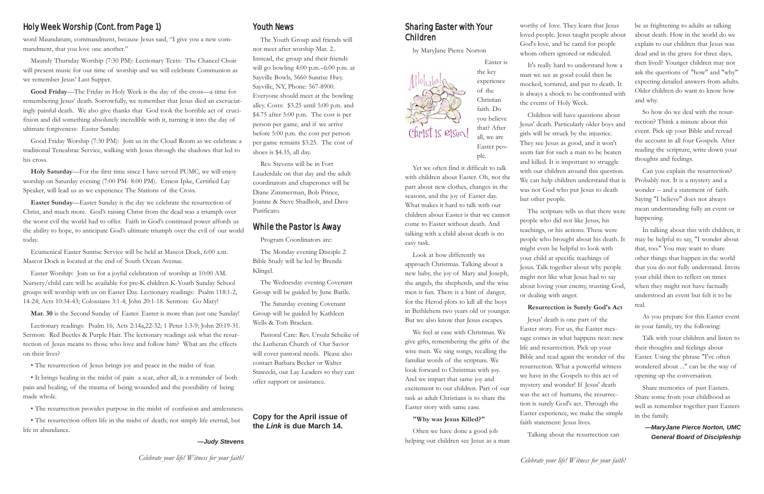## Sharing Easter with Your Children

by MaryJane Pierce Norton

Easter is



ple.

Yet we often find it difficult to talk with children about Easter. Oh, not the part about new clothes, changes in the seasons, and the joy of Easter day. What makes it hard to talk with our children about Easter is that we cannot come to Easter without death. And talking with a child about death is no

easy task.

Look at how differently we approach Christmas. Talking about a new baby, the joy of Mary and Joseph, the angels, the shepherds, and the wise men is fun. There is a hint of danger, for the Herod plots to kill all the boys in Bethlehem two years old or younger. But we also know that Jesus escapes. We feel at ease with Christmas. We give gifts, remembering the gifts of the wise men. We sing songs, recalling the familiar words of the scripture. We look forward to Christmas with joy. And we impart that same joy and excitement to our children. Part of our task as adult Christians is to share the

Easter story with same ease.

**"Why was Jesus Killed?"**

Often we have done a good job helping our children see Jesus as a man worthy of love. They learn that Jesus loved people. Jesus taught people about God's love, and he cared for people whom others ignored or ridiculed.

It's really hard to understand how a man we see as good could then be mocked, tortured, and put to death. It is always a shock to be confronted with the events of Holy Week.

Children will have questions about Jesus' death. Particularly older boys and girls will be struck by the injustice. They see Jesus as good, and it won't seem fair for such a man to be beaten and killed. It is important to struggle with our children around this question. We can help children understand that is was not God who put Jesus to death but other people.

The scripture tells us that there were people who did not like Jesus, his teachings, or his actions. These were people who brought about his death. It might even be helpful to look with your child at specific teachings of Jesus. Talk together about why people might not like what Jesus had to say about loving your enemy, trusting God, or dealing with anger.

## **Resurrection is Surely God's Act**

Jesus' death is one part of the Easter story. For us, the Easter message comes in what happens next: new life and resurrection. Pick up your Bible and read again the wonder of the resurrection. What a powerful witness we have in the Gospels to this act of mystery and wonder! If Jesus' death was the act of humans, the resurrection is surely God's act. Through the Easter experience, we make the simple faith statement: Jesus lives.

Talking about the resurrection can

be as frightening to adults as talking about death. How in the world do we explain to our children that Jesus was dead and in the grave for three days, then lived? Younger children may not ask the questions of "how" and "why" expecting detailed answers from adults. Older children do want to know how and why.

So how do we deal with the resurrection? Think a minute about this event. Pick up your Bible and reread the account in all four Gospels. After reading the scripture, write down your thoughts and feelings.

Can you explain the resurrection? Probably not. It is a mystery and a wonder -- and a statement of faith. Saying "I believe" does not always mean understanding fully an event or happening.

In talking about this with children, it may be helpful to say, "I wonder about that, too." You may want to share other things that happen in the world that you do not fully understand. Invite your child then to reflect on times when they might not have factually understood an event but felt it to be real.

As you prepare for this Easter event in your family, try the following:

Talk with your children and listen to their thoughts and feelings about Easter. Using the phrase "I've often wondered about ..." can be the way of opening up the conversation.

Share memories of past Easters. Share some from your childhood as well as remember together past Easters in the family.

> *—MaryJane Pierce Norton, UMC General Board of Discipleship*

## Holy Week Worship (Cont. from Page 1) Youth News

word Maundatum, commandment, because Jesus said, "I give you a new commandment, that you love one another."

Maundy Thursday Worship (7:30 PM): Lectionary Texts: The Chancel Choir will present music for our time of worship and we will celebrate Communion as we remember Jesus' Last Supper.

**Good Friday**—The Friday in Holy Week is the day of the cross—a time for remembering Jesus' death. Sorrowfully, we remember that Jesus died an excruciatingly painful death. We also give thanks that God took the horrible act of crucifixion and did something absolutely incredible with it, turning it into the day of ultimate forgiveness: Easter Sunday.

Good Friday Worship (7:30 PM): Join us in the Cloud Room as we celebrate a traditional Teneabrae Service, walking with Jesus through the shadows that led to his cross.

**Holy Saturday**—For the first time since I have served PUMC, we will enjoy worship on Saturday evening (7:00 PM- 8:00 PM). Ernest Ipke, Certified Lay Speaker, will lead us as we experience The Stations of the Cross.

**Easter Sunday**—Easter Sunday is the day we celebrate the resurrection of Christ, and much more. God's raising Christ from the dead was a triumph over the worst evil the world had to offer. Faith in God's continued power affords us the ability to hope, to anticipate God's ultimate triumph over the evil of our world today.

Ecumenical Easter Sunrise Service will be held at Mascot Dock, 6:00 a.m. Mascot Dock is located at the end of South Ocean Avenue.

Easter Worship: Join us for a joyful celebration of worship at 10:00 AM. Nursery/child care will be available for pre-K children K-Youth Sunday School groups will worship with us on Easter Day. Lectionary readings: Psalm 118:1-2, 14-24; Acts 10:34-43; Colossians 3:1-4; John 20:1-18. Sermon: Go Mary!

**Mar. 30** is the Second Sunday of Easter. Easter is more than just one Sunday!

Lectionary readings: Psalm 16; Acts 2:14a,22-32; 1 Peter 1:3-9; John 20:19-31. Sermon: Red Beetles & Purple Hair. The lectionary readings ask what the resurrection of Jesus means to those who love and follow him? What are the effects on their lives?

• The resurrection of Jesus brings joy and peace in the midst of fear.

• It brings healing in the midst of pain a scar, after all, is a reminder of both pain and healing, of the trauma of being wounded and the possibility of being made whole.

• The resurrection provides purpose in the midst of confusion and aimlessness.

• The resurrection offers life in the midst of death; not simply life eternal, but life in abundance.

## *—Judy Stevens*

The Youth Group and friends will not meet after worship Mar. 2.. Instead, the group and their friends will go bowling 4:00 p.m.–6:00 p.m. at Sayville Bowls, 5660 Sunrise Hwy. Sayville, NY, Phone: 567-8900. Everyone should meet at the bowling alley. Costs: \$3.25 until 5:00 p.m. and \$4.75 after 5:00 p.m. The cost is per person per game, and if we arrive before 5:00 p.m. the cost per person per game remains \$3.25. The cost of shoes is \$4.35, all day.

Rev. Stevens will be in Fort Lauderdale on that day and the adult coordinators and chaperones will be Diane Zimmerman, Bob Prince, Joanne & Steve Shadbolt, and Dave Purificato.

## While the Pastor Is Away

Program Coordinators are:

The Monday evening Disciple 2 Bible Study will be led by Brenda Klingel.

The Wednesday evening Covenant Group will be guided by June Barile.

The Saturday evening Covenant Group will be guided by Kathleen Wells & Tom Bracken.

Pastoral Care: Rev. Ursula Scheike of the Lutheran Church of Our Savior will cover pastoral needs. Please also contact Barbara Becker or Walter Stawecki, our Lay Leaders so they can offer support or assistance.

## **Copy for the April issue of the** *Link* **is due March 14.**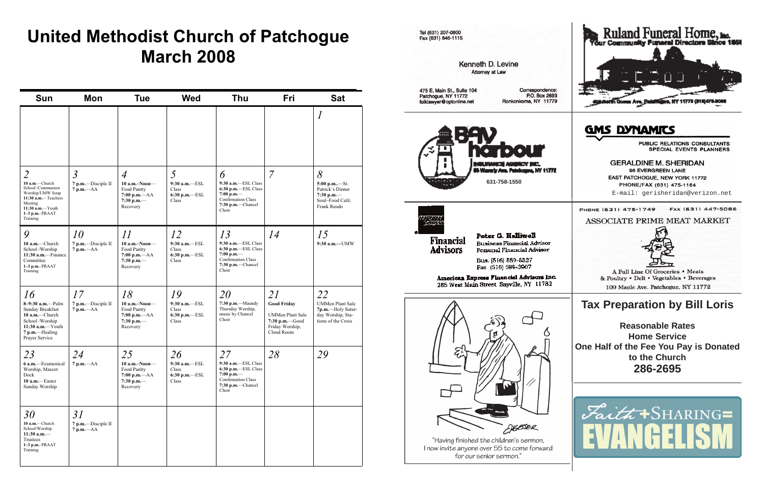# **United Methodist Church of Patchogue March 2008**

Tel (631) 207-0800 Fax (631) 846-1115

**Attorney at Law** 

| Sun                                                                                                                                                             | Mon                                                  | <b>Tue</b>                                                                                       | <b>Wed</b>                                                    | Thu                                                                                                                                | Fri                                                                                                    | <b>Sat</b>                                                                                    |
|-----------------------------------------------------------------------------------------------------------------------------------------------------------------|------------------------------------------------------|--------------------------------------------------------------------------------------------------|---------------------------------------------------------------|------------------------------------------------------------------------------------------------------------------------------------|--------------------------------------------------------------------------------------------------------|-----------------------------------------------------------------------------------------------|
|                                                                                                                                                                 |                                                      |                                                                                                  |                                                               |                                                                                                                                    |                                                                                                        | $\it{l}$                                                                                      |
| $\overline{2}$<br>10 a.m.-Church<br>School /Communion<br>Worship/UMW Soup<br>11:30 a.m.-Teachers<br>Meeting<br>$11:30$ a.m.-Youth<br>1-3 p.m.-PRAAT<br>Training | $\mathfrak{Z}$<br>7 p.m.-Disciple II<br>$7 p.m. -AA$ | $\overline{4}$<br>$10$ a.m.-Noon-<br>Food Pantry<br>7:00 p.m. $-AA$<br>7:30 p.m. $-$<br>Recovery | 5<br>$9:30$ a.m. $-$ ESL<br>Class<br>$6:30$ p.m.-ESL<br>Class | 6<br>9:30 a.m.-ESL Class<br>6:30 p.m.-ESL Class<br>$7:00$ p.m.—<br><b>Confirmation Class</b><br>7:30 p.m.-Chancel<br>Choir         | $\overline{7}$                                                                                         | 8<br>5:00 p.m—St.<br>Patrick's Dinner<br>7:30 p.m. $-$<br>Soul~Food Café:<br>Frank Rendo      |
| 9<br>$10$ a.m.-Church<br>School /Worship<br>$11:30$ a.m.-Finance<br>Committee<br>$1-3$ p.m. $-$ PRAAT<br>Training                                               | 10<br>7 p.m.-Disciple II<br>$7 p.m. -AA$             | 11<br>$10$ a.m.-Noon-<br>Food Pantry<br>$7:00 p.m. -AA$<br>7:30 p.m. $-$<br>Recovery             | 12<br>9:30 a.m.-ESL<br>Class<br>6:30 p.m.-ESL<br>Class        | 13<br>9:30 a.m.-ESL Class<br>6:30 p.m.-ESL Class<br>$7:00$ p.m.—<br><b>Confirmation Class</b><br>7:30 p.m.-Chancel<br>Choir        | 14                                                                                                     | 15<br>9:30 a.m.-UMW                                                                           |
| 16<br>8-9:30 a.m.-Palm<br>Sunday Breakfast<br>$10$ a.m.-Church<br>School /Worship<br>11:30 $a.m.$ -Youth<br>7 p.m.—Healing<br>Prayer Service                    | 17<br>7 p.m.-Disciple II<br>$7 p.m. -AA$             | 18<br>$10$ a.m.-Noon-<br>Food Pantry<br>7:00 p.m. $-AA$<br>7:30 p.m.-<br>Recovery                | 19<br>9:30 a.m.-ESL<br>Class<br>6:30 p.m.-ESL<br>Class        | 20<br>7:30 p.m.-Maundy<br>Thursday Worship,<br>music by Chancel<br>Choir                                                           | 21<br><b>Good Friday</b><br><b>UMMen Plant Sale</b><br>7:30 p.m. Good<br>Friday Worship,<br>Cloud Room | 22<br><b>UMMen Plant Sale</b><br>7p.m.-Holy Satur-<br>day Worship, Sta-<br>tions of the Cross |
| 23<br>6 a.m.-Ecumenical<br>Worship, Mascot<br>Dock<br>10 a.m.-Easter<br>Sunday Worship                                                                          | 24<br>$7 p.m. -AA$                                   | 25<br>$10$ a.m.-Noon-<br>Food Pantry<br>$7:00 p.m. -AA$<br>7:30 p.m.-<br>Recovery                | 26<br>9:30 a.m.-ESL<br>Class<br>6:30 p.m.-ESL<br>Class        | 27<br>9:30 a.m.-ESL Class<br>$6:30$ p.m. $-$ ESL Class<br>7:00 p.m.—<br><b>Confirmation Class</b><br>$7:30$ p.m.--Chancel<br>Choir | 28                                                                                                     | 29                                                                                            |
| 30<br>10 a.m.-Church<br>School/Worship<br>$11:30$ a.m.-<br>Trustees<br>1-3 p.m.-PRAAT<br>Training                                                               | 31<br>7 p.m.-Disciple II<br>$7 p.m. -AA$             |                                                                                                  |                                                               |                                                                                                                                    |                                                                                                        |                                                                                               |